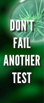# DON FAIL ANOTHER **TIST**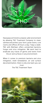

Have peace of mind in a cleaner, safer environment by allowing TGC Treatment Company to clean, sanitize and protect your farm, grow rooms, cure rooms and offices 24 hours a day, 7 days a week. TGC with BioClean offers unmatched bacteria, fungus and virus mitigation. We work hard to eradicate any traces of germs and toxins from the air and surfaces in any environment.

When it comes to premium bacteria and virus mitigation, mold remediation, air and surface decontamination, there is only one team you can trust.

The TGC Treatment Team

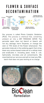# FLOWER & SURFACE DECONTAMINATION



Our process is called Photo Catalytic Oxidation (PCO). This process is chemical free, converting ambient air into a DRY PEROXIDE VAPOR. The peroxide vapor does not blanch or bleach, will not dry, damage, harm Terpenes, or change the odor or THC levels of the flower whatsoever. The peroxide molecule is the oxidizing agent that strips down any carbon-based molecule to a cellular level and eradicates it. Including yeast, mold, E. coli, Salmonella, microbes and all contaminants. We stand behind our services and will re-treat any 10lb.

batch that does not pass testing at no charge.



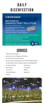# **DAILY DISENFECTION**

#### **ØBIOESQUE**

#### **BOTANICAL DISINFECTANT SOLUTION**

**Lemongrass Grapefruit Scent** Kills 99.9% of Bacteria, Viruses\*, Fungi & Molds Kills Norovirus in Just 4 Minutes Eliminates 99.9% of most Allergens<sup>§</sup> No Rinse Required, even on Food-Contact Surfaces Sanitizes Soft Surfaces in 2 minutes Kills Odor Causing Bacteria

Heavy-Duty Cleaner and Disinfectant<sup>1</sup>

Bactericidal · Virucidal\* · Tuberculocidal · Fungicidal

Vehicles

## **SERVICES**

**KILL**<br>TIME

Mold/Yeast Remediaton Bacteria and Virus Mitigation (COVID-19) Air and Surface Decontaminaton Surface Protectants/MonoFoil, 24/7 PROTECTION AGAINST ALL BACTERIA, VIRUS, FUNGUS, AND ALL CONTAMINATES. Air Quality Testing Grow Rooms Clean Rooms Cure Rooms Trim Rooms **Offices** General Buildings **Equipment** 

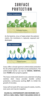# **SURFACE PROTECTION**



As the bacteria, virus or fungi contact the polymer matrix, the membrane is ruptured, exposed and destroyed.



Coeus offers a broad spectrum antimicrobial protection for all surfaces against harmful viruses and bacteria. The antmicrobial barrier can last for **WEEKS**, **MONTHS**, even **YEARS** when properly applied.

The Coeus molecularly bonds to any substrate including stainless steel. Coeus provides durable surface protection, continuously working 24/7, to inhibit the growth of microbes.

Coeus will not wash off or wear away for weeks, months, even years and may be reapplied.

#### **KILLING ALL CONTAMINANTS AND MICROBES 24/7, WITH A 3 MIN. DWELL TIME!!! INCLUDING COVID-19**